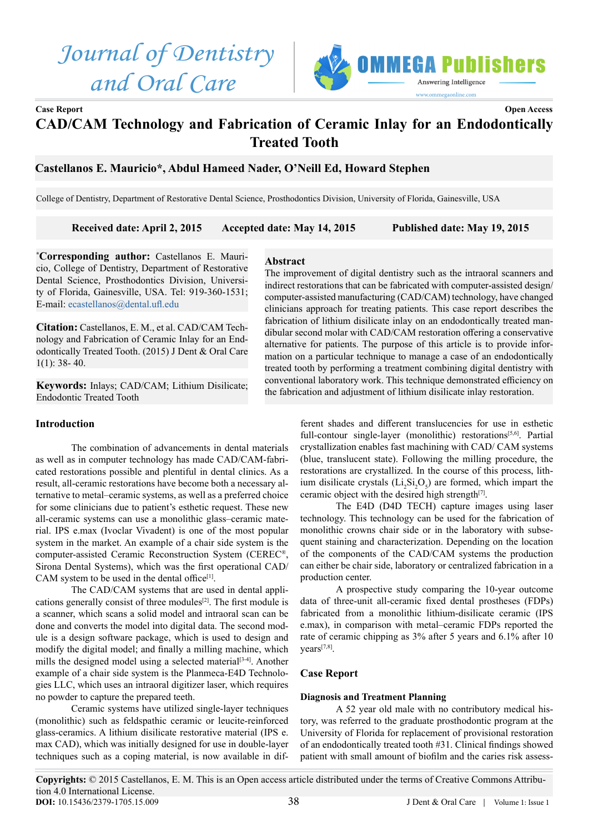# *Journal of Dentistry and Oral Care*



# **Case Report Open Access CAD/CAM Technology and Fabrication of Ceramic Inlay for an Endodontically Treated Tooth**

# **Castellanos E. Mauricio\*, Abdul Hameed Nader, O'Neill Ed, Howard Stephen**

College of Dentistry, Department of Restorative Dental Science, Prosthodontics Division, University of Florida, Gainesville, USA

## **Received date: April 2, 2015 Accepted date: May 14, 2015 Published date: May 19, 2015**

**Abstract**

**\* Corresponding author:** Castellanos E. Mauricio, College of Dentistry, Department of Restorative Dental Science, Prosthodontics Division, University of Florida, Gainesville, USA. Tel: 919-360-1531; E-mail: [ecastellanos@dental.ufl.edu](mailto:ecastellanos%40dental.ufl.edu?subject=)

**Citation:** Castellanos, E. M., et al. CAD/CAM Technology and Fabrication of Ceramic Inlay for an Endodontically Treated Tooth. (2015) J Dent & Oral Care 1(1): 38- 40.

**Keywords:** Inlays; CAD/CAM; Lithium Disilicate; Endodontic Treated Tooth

## **Introduction**

The combination of advancements in dental materials as well as in computer technology has made CAD/CAM-fabricated restorations possible and plentiful in dental clinics. As a result, all-ceramic restorations have become both a necessary alternative to metal–ceramic systems, as well as a preferred choice for some clinicians due to patient's esthetic request. These new all-ceramic systems can use a monolithic glass–ceramic material. IPS e.max (Ivoclar Vivadent) is one of the most popular system in the market. An example of a chair side system is the computer-assisted Ceramic Reconstruction System (CEREC®, Sirona Dental Systems), which was the first operational CAD/ CAM system to be used in the dental office<sup>[1]</sup>.

The CAD/CAM systems that are used in dental applications generally consist of three modules[[2\]](#page-2-1). The first module is a scanner, which scans a solid model and intraoral scan can be done and converts the model into digital data. The second module is a design software package, which is used to design and modify the digital model; and finally a milling machine, which mills the designed model using a selected material<sup>[3-4]</sup>. Another example of a chair side system is the Planmeca-E4D Technologies LLC, which uses an intraoral digitizer laser, which requires no powder to capture the prepared teeth.

Ceramic systems have utilized single-layer techniques (monolithic) such as feldspathic ceramic or leucite-reinforced glass-ceramics. A lithium disilicate restorative material (IPS e. max CAD), which was initially designed for use in double-layer techniques such as a coping material, is now available in dif-

The improvement of digital dentistry such as the intraoral scanners and indirect restorations that can be fabricated with computer-assisted design/ computer-assisted manufacturing (CAD/CAM) technology, have changed clinicians approach for treating patients. This case report describes the fabrication of lithium disilicate inlay on an endodontically treated mandibular second molar with CAD/CAM restoration offering a conservative alternative for patients. The purpose of this article is to provide information on a particular technique to manage a case of an endodontically treated tooth by performing a treatment combining digital dentistry with conventional laboratory work. This technique demonstrated efficiency on the fabrication and adjustment of lithium disilicate inlay restoration.

> ferent shades and different translucencies for use in esthetic full-contour single-layer (monolithic) restorations<sup>[5,6]</sup>. Partial crystallization enables fast machining with CAD/ CAM systems (blue, translucent state). Following the milling procedure, the restorations are crystallized. In the course of this process, lithium disilicate crystals  $(Li_2Si_2O_5)$  are formed, which impart the ceramic object with the desired high strength<sup>[[7\]](#page-2-4)</sup>.

> The E4D (D4D TECH) capture images using laser technology. This technology can be used for the fabrication of monolithic crowns chair side or in the laboratory with subsequent staining and characterization. Depending on the location of the components of the CAD/CAM systems the production can either be chair side, laboratory or centralized fabrication in a production center.

> A prospective study comparing the 10-year outcome data of three-unit all-ceramic fixed dental prostheses (FDPs) fabricated from a monolithic lithium-disilicate ceramic (IPS e.max), in comparison with metal–ceramic FDPs reported the rate of ceramic chipping as 3% after 5 years and 6.1% after 10 years[7,8[\].](#page-2-4)

## **Case Report**

#### **Diagnosis and Treatment Planning**

A 52 year old male with no contributory medical history, was referred to the graduate prosthodontic program at the University of Florida for replacement of provisional restoration of an endodontically treated tooth #31. Clinical findings showed patient with small amount of biofilm and the caries risk assess-

**Copyrights:** © 2015 Castellanos, E. M. This is an Open access article distributed under the terms of Creative Commons Attribution 4.0 International License. 38 **DOI:** [10.15436/2379-1705.15.009](http://www.dx.doi.org/10.15436/2379-1705.15.009)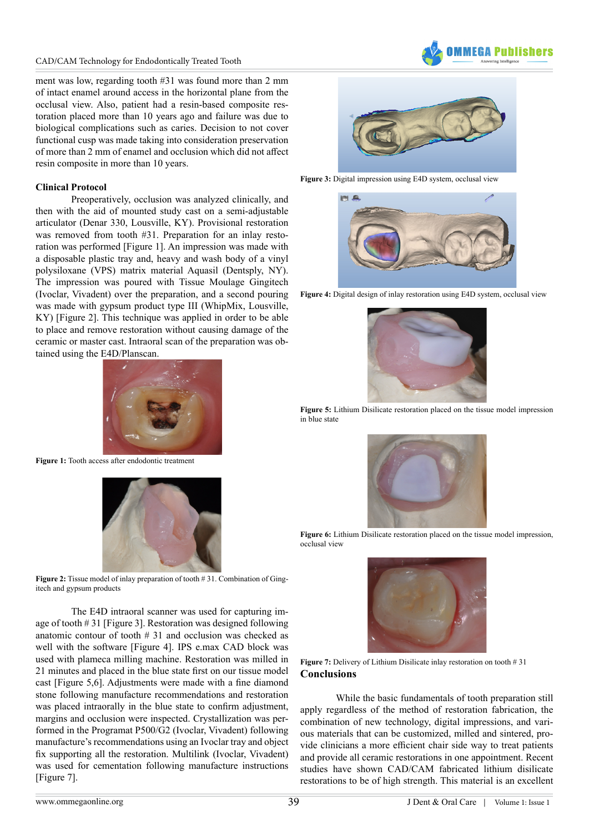

ment was low, regarding tooth #31 was found more than 2 mm of intact enamel around access in the horizontal plane from the occlusal view. Also, patient had a resin-based composite restoration placed more than 10 years ago and failure was due to biological complications such as caries. Decision to not cover functional cusp was made taking into consideration preservation of more than 2 mm of enamel and occlusion which did not affect resin composite in more than 10 years.

#### **Clinical Protocol**

Preoperatively, occlusion was analyzed clinically, and then with the aid of mounted study cast on a semi-adjustable articulator (Denar 330, Lousville, KY). Provisional restoration was removed from tooth #31. Preparation for an inlay restoration was performed [Figure 1[\]](#page-1-0). An impression was made with a disposable plastic tray and, heavy and wash body of a vinyl polysiloxane (VPS) matrix material Aquasil (Dentsply, NY). The impression was poured with Tissue Moulage Gingitech (Ivoclar, Vivadent) over the preparation, and a second pouring was made with gypsum product type III (WhipMix, Lousville, KY) [Figure [2\].](#page-1-1) This technique was applied in order to be able to place and remove restoration without causing damage of the ceramic or master cast. Intraoral scan of the preparation was obtained using the E4D/Planscan.



**Figure 1:** Tooth access after endodontic treatment

<span id="page-1-0"></span>

**Figure 2:** Tissue model of inlay preparation of tooth # 31. Combination of Gingitech and gypsum products

<span id="page-1-1"></span>The E4D intraoral scanner was used for capturing image of tooth # 31 [Figure [3\]](#page-1-2). Restoration was designed following anatomic contour of tooth # 31 and occlusion was checked as well with the software [Figure [4\].](#page-1-3) IPS e.max CAD block was used with plameca milling machine. Restoration was milled in 21 minutes and placed in the blue state first on our tissue model cast [Figure 5,6[\]](#page-1-4). Adjustments were made with a fine diamond stone following manufacture recommendations and restoration was placed intraorally in the blue state to confirm adjustment, margins and occlusion were inspected. Crystallization was performed in the Programat P500/G2 (Ivoclar, Vivadent) following manufacture's recommendations using an Ivoclar tray and object fix supporting all the restoration. Multilink (Ivoclar, Vivadent) was used for cementation following manufacture instructions [Figure 7[\]](#page-1-5).



**Figure 3:** Digital impression using E4D system, occlusal view

<span id="page-1-2"></span>

**Figure 4:** Digital design of inlay restoration using E4D system, occlusal view

<span id="page-1-3"></span>

**Figure 5:** Lithium Disilicate restoration placed on the tissue model impression in blue state

<span id="page-1-4"></span>

**Figure 6:** Lithium Disilicate restoration placed on the tissue model impression, occlusal view



Figure 7: Delivery of Lithium Disilicate inlay restoration on tooth # 31 **Conclusions**

<span id="page-1-5"></span>While the basic fundamentals of tooth preparation still apply regardless of the method of restoration fabrication, the combination of new technology, digital impressions, and various materials that can be customized, milled and sintered, provide clinicians a more efficient chair side way to treat patients and provide all ceramic restorations in one appointment. Recent studies have shown CAD/CAM fabricated lithium disilicate restorations to be of high strength. This material is an excellent